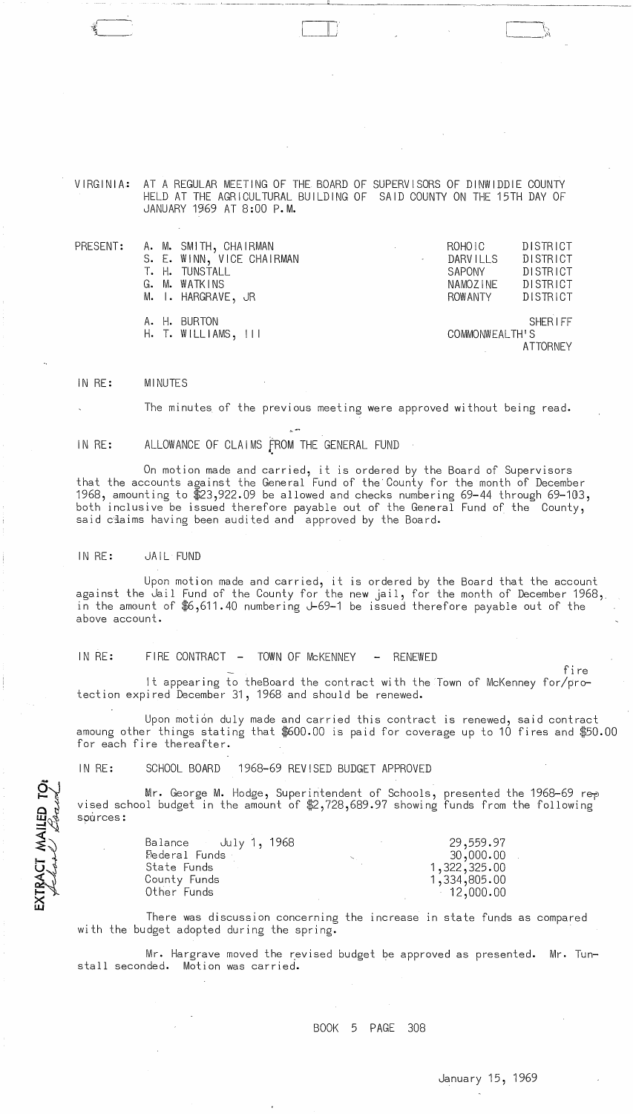$\cdot$  $^{\prime\prime}$  $\sim$ 

VIRGINIA: AT A REGULAR MEETING OF THE BOARD OF SUPERVISORS OF DINWIDDIE COUNTY HELD AT THE AGRICULTURAL BUILDING OF SAID COUNTY ON THE 15TH DAY OF JANUARY 1969 AT 8:00 P.M.

------ ,---- --------,~. ~'---------------~~

| PRESENT: | A. M. SMITH, CHAIRMAN<br>S. E. WINN, VICE CHAIRMAN<br>T. H. TUNSTALL<br>G. M. WATKINS<br>M. I. HARGRAVE, JR |  | ROHOIC<br><b>DARVILLS</b><br>SAPONY<br>NAMOZINE<br>ROWANTY | <b>DISTRICT</b><br>DISTRICT<br><b>DISTRICT</b><br>DISTRICT<br>DISTRICT |
|----------|-------------------------------------------------------------------------------------------------------------|--|------------------------------------------------------------|------------------------------------------------------------------------|
|          | A. H. BURTON<br>$H.$ T. WILLIAMS, $   $                                                                     |  | COMMONWEALTH'S                                             | <b>SHERIFF</b><br><b>ATTORNEY</b>                                      |

IN RE: MINUTES

The minutes of the previous meeting were approved without being read.

IN RE: ALLOWANCE OF CLAIMS fROM THE GENERAL FUND

On motion made and carried, it is ordered by the Board of Supervisors that the accounts against the General Fund of the'County for the month of December 1968, amounting to \$23,922.09 be allowed and checks numbering 69-44 through 69-103, both inclusive be issued therefore payable out of the General Fund of the County, said claims having been audited and approved by the Board.

<sup>~</sup>.-

IN RE: JAIL FUND

EXTRACT MAILED TOP

Upon motion made and carried, it is ordered by the Board that the account against the dail Fund of the County for the new jail, for the month of December 1968, in the amount of \$6,611.40 numbering J-69-1 be issued therefore payable out of the above account.

IN RE: FIRE CONTRACT - TOWN OF MCKENNEY - RENEWED

It appearing to theBoard the contract with the Town of McKenney for/protection expired December 31, 1968 and should be renewed.

Upon motion duly made and carried this contract is renewed, said contract amoung other things stating that \$600.00 is paid for coverage up to 10 fires and \$50.00 for each fire thereafter.

IN RE: SCHOOL BOARD 1968-69 REVISED BUDGET APPROVED

Mr. George M. Hodge, Superintendent of Schools, presented the 1968—69 rep vised school budget in the amount of  $2,728,689.97$  showing funds from the following sources:

| Balance July 1, 1968 | 29,559.97    |
|----------------------|--------------|
| Federal Funds        | 30,000.00    |
| State Funds          | 1,322,325.00 |
| County Funds         | 1,334,805.00 |
| Other Funds          | 12,000.00    |

There was discussion concerning the increase in state funds as compared with the budget adopted during the spring.

Mr. Hargrave moved the revised budget be approved as presented. Mr. Tunstall seconded. Motion was carried.

## BOOK 5 PAGE 308

fire

 $\sim$